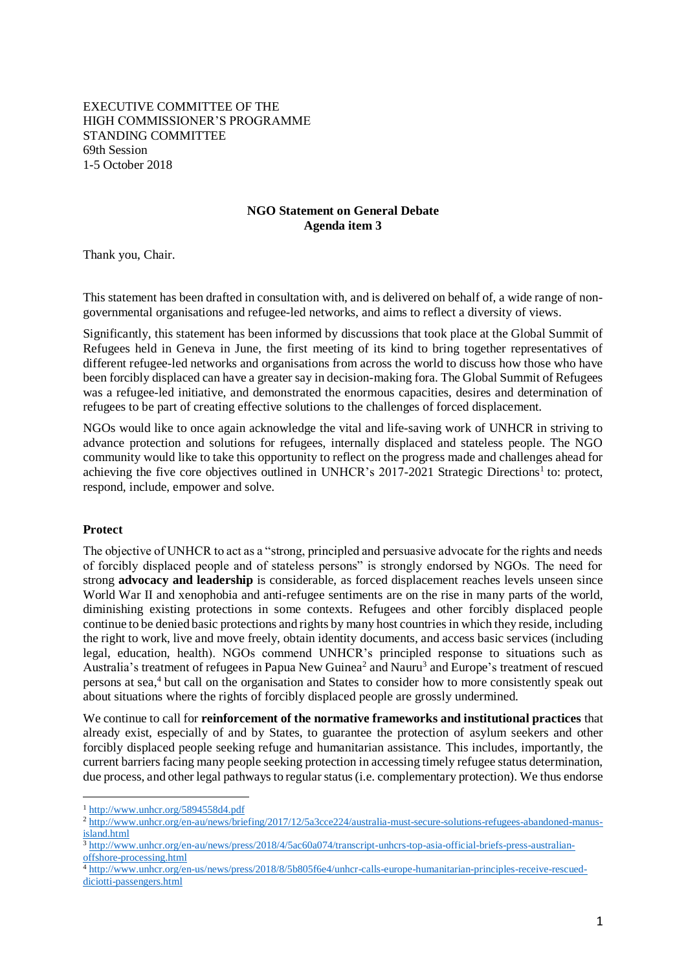EXECUTIVE COMMITTEE OF THE HIGH COMMISSIONER'S PROGRAMME STANDING COMMITTEE 69th Session 1-5 October 2018

## **NGO Statement on General Debate Agenda item 3**

Thank you, Chair.

This statement has been drafted in consultation with, and is delivered on behalf of, a wide range of nongovernmental organisations and refugee-led networks, and aims to reflect a diversity of views.

Significantly, this statement has been informed by discussions that took place at the Global Summit of Refugees held in Geneva in June, the first meeting of its kind to bring together representatives of different refugee-led networks and organisations from across the world to discuss how those who have been forcibly displaced can have a greater say in decision-making fora. The Global Summit of Refugees was a refugee-led initiative, and demonstrated the enormous capacities, desires and determination of refugees to be part of creating effective solutions to the challenges of forced displacement.

NGOs would like to once again acknowledge the vital and life-saving work of UNHCR in striving to advance protection and solutions for refugees, internally displaced and stateless people. The NGO community would like to take this opportunity to reflect on the progress made and challenges ahead for achieving the five core objectives outlined in UNHCR's 2017-2021 Strategic Directions<sup>1</sup> to: protect, respond, include, empower and solve.

## **Protect**

 $\overline{a}$ 

The objective of UNHCR to act as a "strong, principled and persuasive advocate for the rights and needs of forcibly displaced people and of stateless persons" is strongly endorsed by NGOs. The need for strong **advocacy and leadership** is considerable, as forced displacement reaches levels unseen since World War II and xenophobia and anti-refugee sentiments are on the rise in many parts of the world, diminishing existing protections in some contexts. Refugees and other forcibly displaced people continue to be denied basic protections and rights by many host countries in which they reside, including the right to work, live and move freely, obtain identity documents, and access basic services (including legal, education, health). NGOs commend UNHCR's principled response to situations such as Australia's treatment of refugees in Papua New Guinea<sup>2</sup> and Nauru<sup>3</sup> and Europe's treatment of rescued persons at sea, <sup>4</sup> but call on the organisation and States to consider how to more consistently speak out about situations where the rights of forcibly displaced people are grossly undermined.

We continue to call for **reinforcement of the normative frameworks and institutional practices** that already exist, especially of and by States, to guarantee the protection of asylum seekers and other forcibly displaced people seeking refuge and humanitarian assistance. This includes, importantly, the current barriers facing many people seeking protection in accessing timely refugee status determination, due process, and other legal pathways to regular status (i.e. complementary protection). We thus endorse

<sup>1</sup> <http://www.unhcr.org/5894558d4.pdf>

<sup>2</sup> [http://www.unhcr.org/en-au/news/briefing/2017/12/5a3cce224/australia-must-secure-solutions-refugees-abandoned-manus](http://www.unhcr.org/en-au/news/briefing/2017/12/5a3cce224/australia-must-secure-solutions-refugees-abandoned-manus-island.html)[island.html](http://www.unhcr.org/en-au/news/briefing/2017/12/5a3cce224/australia-must-secure-solutions-refugees-abandoned-manus-island.html)

<sup>3</sup> [http://www.unhcr.org/en-au/news/press/2018/4/5ac60a074/transcript-unhcrs-top-asia-official-briefs-press-australian](http://www.unhcr.org/en-au/news/press/2018/4/5ac60a074/transcript-unhcrs-top-asia-official-briefs-press-australian-offshore-processing.html)[offshore-processing.html](http://www.unhcr.org/en-au/news/press/2018/4/5ac60a074/transcript-unhcrs-top-asia-official-briefs-press-australian-offshore-processing.html)

<sup>4</sup> [http://www.unhcr.org/en-us/news/press/2018/8/5b805f6e4/unhcr-calls-europe-humanitarian-principles-receive-rescued](http://www.unhcr.org/en-us/news/press/2018/8/5b805f6e4/unhcr-calls-europe-humanitarian-principles-receive-rescued-diciotti-passengers.html)[diciotti-passengers.html](http://www.unhcr.org/en-us/news/press/2018/8/5b805f6e4/unhcr-calls-europe-humanitarian-principles-receive-rescued-diciotti-passengers.html)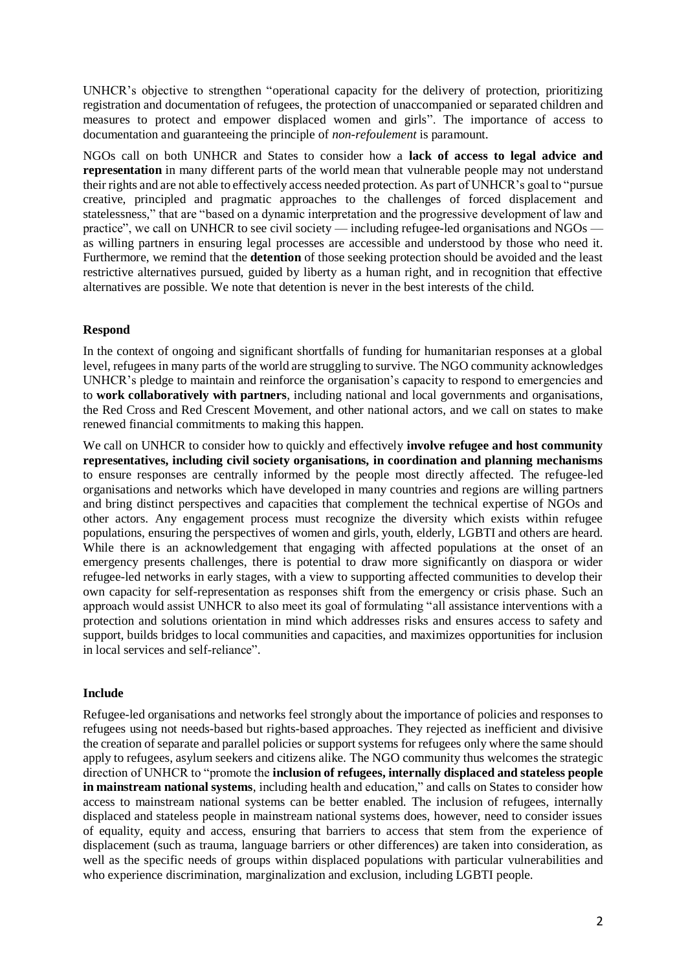UNHCR's objective to strengthen "operational capacity for the delivery of protection, prioritizing registration and documentation of refugees, the protection of unaccompanied or separated children and measures to protect and empower displaced women and girls". The importance of access to documentation and guaranteeing the principle of *non-refoulement* is paramount.

NGOs call on both UNHCR and States to consider how a **lack of access to legal advice and representation** in many different parts of the world mean that vulnerable people may not understand their rights and are not able to effectively access needed protection. As part of UNHCR's goal to "pursue creative, principled and pragmatic approaches to the challenges of forced displacement and statelessness," that are "based on a dynamic interpretation and the progressive development of law and practice", we call on UNHCR to see civil society — including refugee-led organisations and NGOs as willing partners in ensuring legal processes are accessible and understood by those who need it. Furthermore, we remind that the **detention** of those seeking protection should be avoided and the least restrictive alternatives pursued, guided by liberty as a human right, and in recognition that effective alternatives are possible. We note that detention is never in the best interests of the child.

# **Respond**

In the context of ongoing and significant shortfalls of funding for humanitarian responses at a global level, refugees in many parts of the world are struggling to survive. The NGO community acknowledges UNHCR's pledge to maintain and reinforce the organisation's capacity to respond to emergencies and to **work collaboratively with partners**, including national and local governments and organisations, the Red Cross and Red Crescent Movement, and other national actors, and we call on states to make renewed financial commitments to making this happen.

We call on UNHCR to consider how to quickly and effectively **involve refugee and host community representatives, including civil society organisations, in coordination and planning mechanisms** to ensure responses are centrally informed by the people most directly affected. The refugee-led organisations and networks which have developed in many countries and regions are willing partners and bring distinct perspectives and capacities that complement the technical expertise of NGOs and other actors. Any engagement process must recognize the diversity which exists within refugee populations, ensuring the perspectives of women and girls, youth, elderly, LGBTI and others are heard. While there is an acknowledgement that engaging with affected populations at the onset of an emergency presents challenges, there is potential to draw more significantly on diaspora or wider refugee-led networks in early stages, with a view to supporting affected communities to develop their own capacity for self-representation as responses shift from the emergency or crisis phase. Such an approach would assist UNHCR to also meet its goal of formulating "all assistance interventions with a protection and solutions orientation in mind which addresses risks and ensures access to safety and support, builds bridges to local communities and capacities, and maximizes opportunities for inclusion in local services and self-reliance".

## **Include**

Refugee-led organisations and networks feel strongly about the importance of policies and responses to refugees using not needs-based but rights-based approaches. They rejected as inefficient and divisive the creation of separate and parallel policies or support systems for refugees only where the same should apply to refugees, asylum seekers and citizens alike. The NGO community thus welcomes the strategic direction of UNHCR to "promote the **inclusion of refugees, internally displaced and stateless people in mainstream national systems**, including health and education," and calls on States to consider how access to mainstream national systems can be better enabled. The inclusion of refugees, internally displaced and stateless people in mainstream national systems does, however, need to consider issues of equality, equity and access, ensuring that barriers to access that stem from the experience of displacement (such as trauma, language barriers or other differences) are taken into consideration, as well as the specific needs of groups within displaced populations with particular vulnerabilities and who experience discrimination, marginalization and exclusion, including LGBTI people.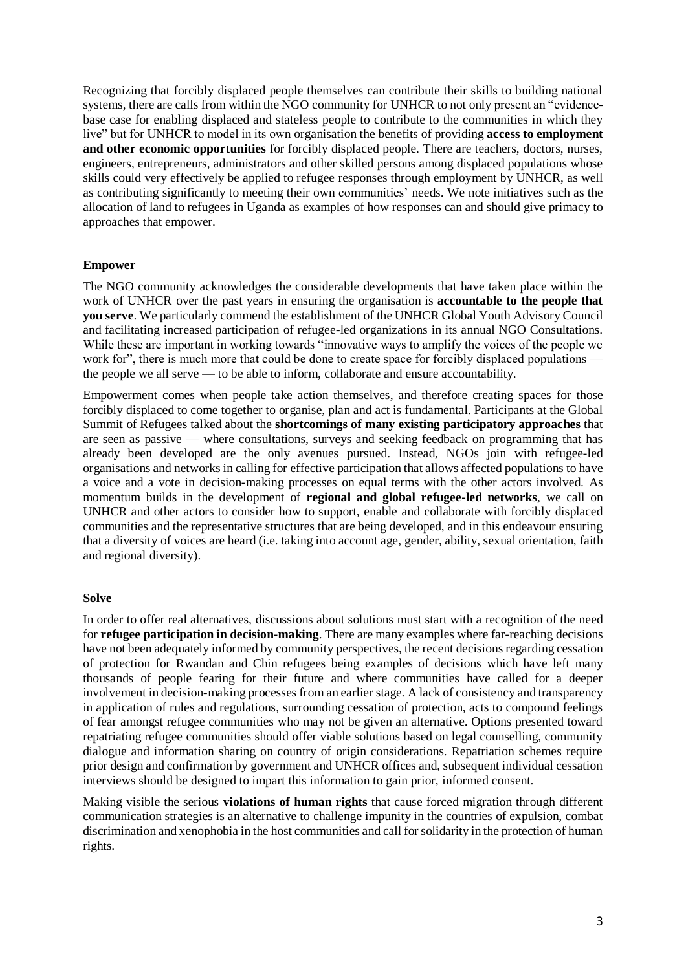Recognizing that forcibly displaced people themselves can contribute their skills to building national systems, there are calls from within the NGO community for UNHCR to not only present an "evidencebase case for enabling displaced and stateless people to contribute to the communities in which they live" but for UNHCR to model in its own organisation the benefits of providing **access to employment and other economic opportunities** for forcibly displaced people. There are teachers, doctors, nurses, engineers, entrepreneurs, administrators and other skilled persons among displaced populations whose skills could very effectively be applied to refugee responses through employment by UNHCR, as well as contributing significantly to meeting their own communities' needs. We note initiatives such as the allocation of land to refugees in Uganda as examples of how responses can and should give primacy to approaches that empower.

#### **Empower**

The NGO community acknowledges the considerable developments that have taken place within the work of UNHCR over the past years in ensuring the organisation is **accountable to the people that you serve**. We particularly commend the establishment of the UNHCR Global Youth Advisory Council and facilitating increased participation of refugee-led organizations in its annual NGO Consultations. While these are important in working towards "innovative ways to amplify the voices of the people we work for", there is much more that could be done to create space for forcibly displaced populations the people we all serve — to be able to inform, collaborate and ensure accountability.

Empowerment comes when people take action themselves, and therefore creating spaces for those forcibly displaced to come together to organise, plan and act is fundamental. Participants at the Global Summit of Refugees talked about the **shortcomings of many existing participatory approaches** that are seen as passive — where consultations, surveys and seeking feedback on programming that has already been developed are the only avenues pursued. Instead, NGOs join with refugee-led organisations and networks in calling for effective participation that allows affected populations to have a voice and a vote in decision-making processes on equal terms with the other actors involved. As momentum builds in the development of **regional and global refugee-led networks**, we call on UNHCR and other actors to consider how to support, enable and collaborate with forcibly displaced communities and the representative structures that are being developed, and in this endeavour ensuring that a diversity of voices are heard (i.e. taking into account age, gender, ability, sexual orientation, faith and regional diversity).

#### **Solve**

In order to offer real alternatives, discussions about solutions must start with a recognition of the need for **refugee participation in decision-making**. There are many examples where far-reaching decisions have not been adequately informed by community perspectives, the recent decisions regarding cessation of protection for Rwandan and Chin refugees being examples of decisions which have left many thousands of people fearing for their future and where communities have called for a deeper involvement in decision-making processes from an earlier stage. A lack of consistency and transparency in application of rules and regulations, surrounding cessation of protection, acts to compound feelings of fear amongst refugee communities who may not be given an alternative. Options presented toward repatriating refugee communities should offer viable solutions based on legal counselling, community dialogue and information sharing on country of origin considerations. Repatriation schemes require prior design and confirmation by government and UNHCR offices and, subsequent individual cessation interviews should be designed to impart this information to gain prior, informed consent.

Making visible the serious **violations of human rights** that cause forced migration through different communication strategies is an alternative to challenge impunity in the countries of expulsion, combat discrimination and xenophobia in the host communities and call for solidarity in the protection of human rights.